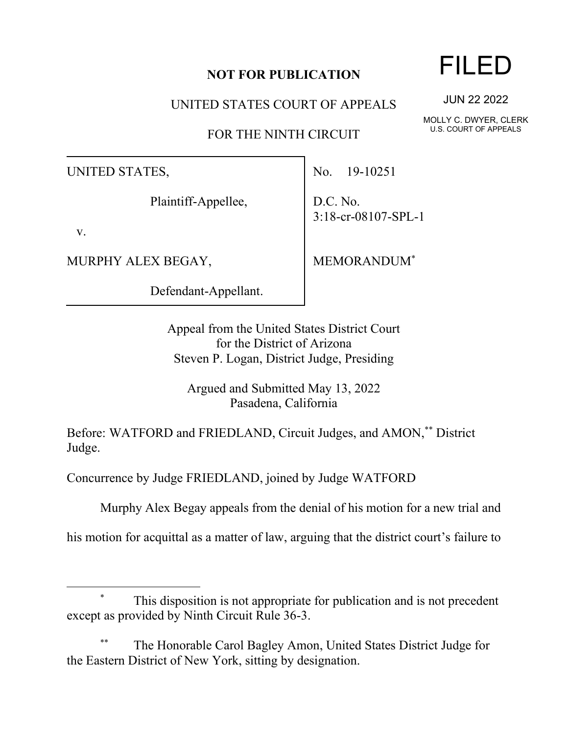### **NOT FOR PUBLICATION**

UNITED STATES COURT OF APPEALS

FOR THE NINTH CIRCUIT

UNITED STATES,

Plaintiff-Appellee,

v.

MURPHY ALEX BEGAY,

Defendant-Appellant.

No. 19-10251

D.C. No. 3:18-cr-08107-SPL-1

MEMORANDUM\*

Appeal from the United States District Court for the District of Arizona Steven P. Logan, District Judge, Presiding

Argued and Submitted May 13, 2022 Pasadena, California

Before: WATFORD and FRIEDLAND, Circuit Judges, and AMON,\*\* District Judge.

Concurrence by Judge FRIEDLAND, joined by Judge WATFORD

Murphy Alex Begay appeals from the denial of his motion for a new trial and

his motion for acquittal as a matter of law, arguing that the district court's failure to

### This disposition is not appropriate for publication and is not precedent except as provided by Ninth Circuit Rule 36-3.

The Honorable Carol Bagley Amon, United States District Judge for the Eastern District of New York, sitting by designation.

## FILED

JUN 22 2022

MOLLY C. DWYER, CLERK U.S. COURT OF APPEALS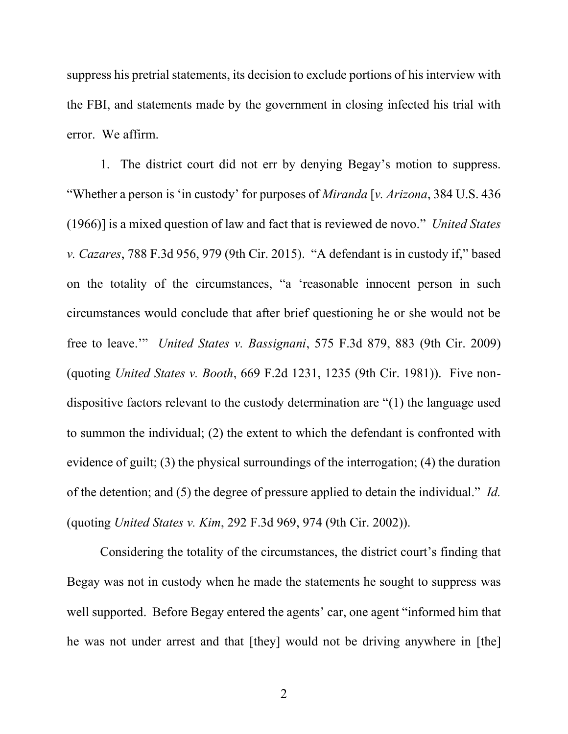suppress his pretrial statements, its decision to exclude portions of his interview with the FBI, and statements made by the government in closing infected his trial with error. We affirm.

1. The district court did not err by denying Begay's motion to suppress. "Whether a person is 'in custody' for purposes of *Miranda* [*v. Arizona*, 384 U.S. 436 (1966)] is a mixed question of law and fact that is reviewed de novo." *United States v. Cazares*, 788 F.3d 956, 979 (9th Cir. 2015). "A defendant is in custody if," based on the totality of the circumstances, "a 'reasonable innocent person in such circumstances would conclude that after brief questioning he or she would not be free to leave.'" *United States v. Bassignani*, 575 F.3d 879, 883 (9th Cir. 2009) (quoting *United States v. Booth*, 669 F.2d 1231, 1235 (9th Cir. 1981)). Five nondispositive factors relevant to the custody determination are "(1) the language used to summon the individual; (2) the extent to which the defendant is confronted with evidence of guilt; (3) the physical surroundings of the interrogation; (4) the duration of the detention; and (5) the degree of pressure applied to detain the individual." *Id.* (quoting *United States v. Kim*, 292 F.3d 969, 974 (9th Cir. 2002)).

Considering the totality of the circumstances, the district court's finding that Begay was not in custody when he made the statements he sought to suppress was well supported. Before Begay entered the agents' car, one agent "informed him that he was not under arrest and that [they] would not be driving anywhere in [the]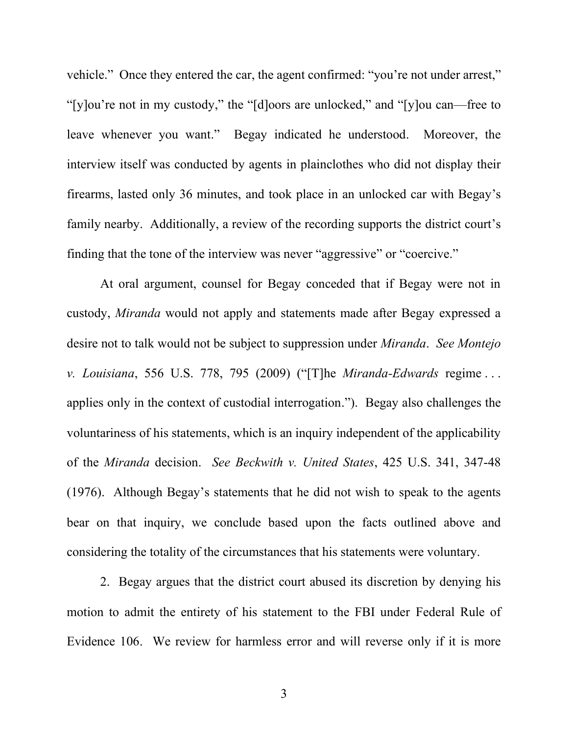vehicle." Once they entered the car, the agent confirmed: "you're not under arrest," "[y]ou're not in my custody," the "[d]oors are unlocked," and "[y]ou can—free to leave whenever you want." Begay indicated he understood. Moreover, the interview itself was conducted by agents in plainclothes who did not display their firearms, lasted only 36 minutes, and took place in an unlocked car with Begay's family nearby. Additionally, a review of the recording supports the district court's finding that the tone of the interview was never "aggressive" or "coercive."

At oral argument, counsel for Begay conceded that if Begay were not in custody, *Miranda* would not apply and statements made after Begay expressed a desire not to talk would not be subject to suppression under *Miranda*. *See Montejo v. Louisiana*, 556 U.S. 778, 795 (2009) ("[T]he *Miranda-Edwards* regime . . . applies only in the context of custodial interrogation."). Begay also challenges the voluntariness of his statements, which is an inquiry independent of the applicability of the *Miranda* decision. *See Beckwith v. United States*, 425 U.S. 341, 347-48 (1976). Although Begay's statements that he did not wish to speak to the agents bear on that inquiry, we conclude based upon the facts outlined above and considering the totality of the circumstances that his statements were voluntary.

2. Begay argues that the district court abused its discretion by denying his motion to admit the entirety of his statement to the FBI under Federal Rule of Evidence 106. We review for harmless error and will reverse only if it is more

3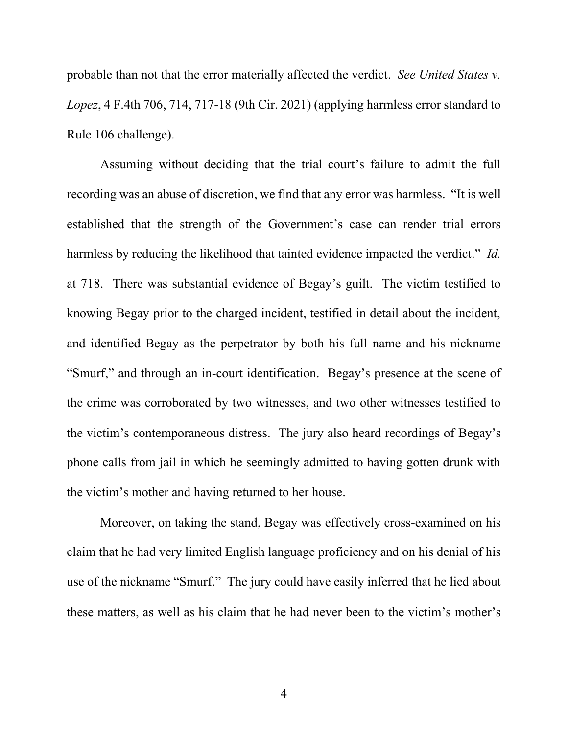probable than not that the error materially affected the verdict. *See United States v. Lopez*, 4 F.4th 706, 714, 717-18 (9th Cir. 2021) (applying harmless error standard to Rule 106 challenge).

Assuming without deciding that the trial court's failure to admit the full recording was an abuse of discretion, we find that any error was harmless. "It is well established that the strength of the Government's case can render trial errors harmless by reducing the likelihood that tainted evidence impacted the verdict." *Id.* at 718. There was substantial evidence of Begay's guilt. The victim testified to knowing Begay prior to the charged incident, testified in detail about the incident, and identified Begay as the perpetrator by both his full name and his nickname "Smurf," and through an in-court identification. Begay's presence at the scene of the crime was corroborated by two witnesses, and two other witnesses testified to the victim's contemporaneous distress. The jury also heard recordings of Begay's phone calls from jail in which he seemingly admitted to having gotten drunk with the victim's mother and having returned to her house.

Moreover, on taking the stand, Begay was effectively cross-examined on his claim that he had very limited English language proficiency and on his denial of his use of the nickname "Smurf." The jury could have easily inferred that he lied about these matters, as well as his claim that he had never been to the victim's mother's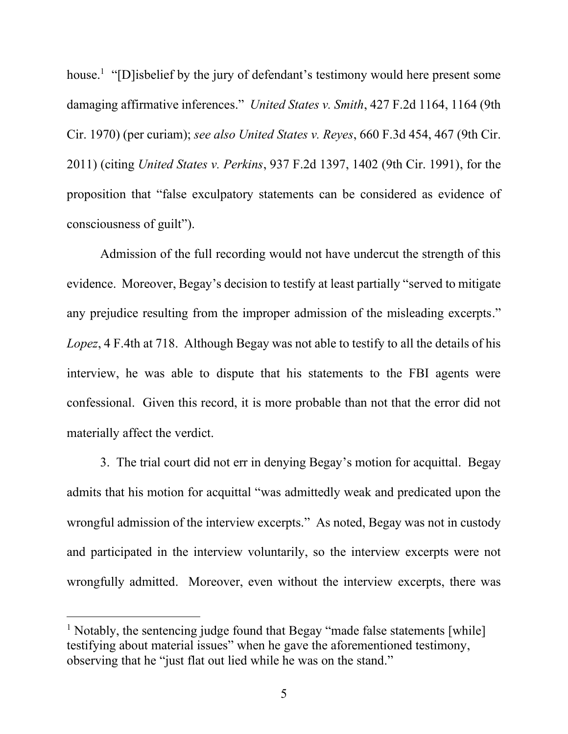house.<sup>1</sup> "[D]isbelief by the jury of defendant's testimony would here present some damaging affirmative inferences." *United States v. Smith*, 427 F.2d 1164, 1164 (9th Cir. 1970) (per curiam); *see also United States v. Reyes*, 660 F.3d 454, 467 (9th Cir. 2011) (citing *United States v. Perkins*, 937 F.2d 1397, 1402 (9th Cir. 1991), for the proposition that "false exculpatory statements can be considered as evidence of consciousness of guilt").

Admission of the full recording would not have undercut the strength of this evidence. Moreover, Begay's decision to testify at least partially "served to mitigate any prejudice resulting from the improper admission of the misleading excerpts." *Lopez*, 4 F.4th at 718. Although Begay was not able to testify to all the details of his interview, he was able to dispute that his statements to the FBI agents were confessional. Given this record, it is more probable than not that the error did not materially affect the verdict.

3. The trial court did not err in denying Begay's motion for acquittal. Begay admits that his motion for acquittal "was admittedly weak and predicated upon the wrongful admission of the interview excerpts." As noted, Begay was not in custody and participated in the interview voluntarily, so the interview excerpts were not wrongfully admitted. Moreover, even without the interview excerpts, there was

<sup>&</sup>lt;sup>1</sup> Notably, the sentencing judge found that Begay "made false statements [while] testifying about material issues" when he gave the aforementioned testimony, observing that he "just flat out lied while he was on the stand."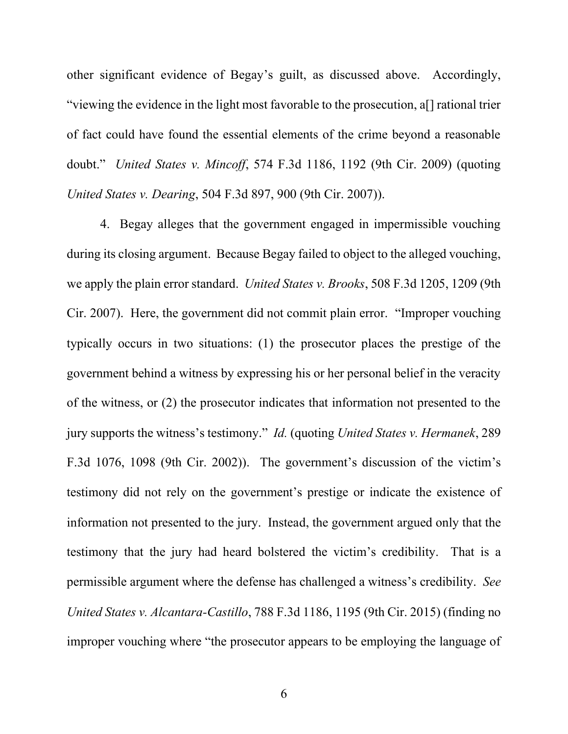other significant evidence of Begay's guilt, as discussed above. Accordingly, "viewing the evidence in the light most favorable to the prosecution, a[] rational trier of fact could have found the essential elements of the crime beyond a reasonable doubt." *United States v. Mincoff*, 574 F.3d 1186, 1192 (9th Cir. 2009) (quoting *United States v. Dearing*, 504 F.3d 897, 900 (9th Cir. 2007)).

4. Begay alleges that the government engaged in impermissible vouching during its closing argument. Because Begay failed to object to the alleged vouching, we apply the plain error standard. *United States v. Brooks*, 508 F.3d 1205, 1209 (9th Cir. 2007). Here, the government did not commit plain error. "Improper vouching typically occurs in two situations: (1) the prosecutor places the prestige of the government behind a witness by expressing his or her personal belief in the veracity of the witness, or (2) the prosecutor indicates that information not presented to the jury supports the witness's testimony." *Id.* (quoting *United States v. Hermanek*, 289 F.3d 1076, 1098 (9th Cir. 2002)). The government's discussion of the victim's testimony did not rely on the government's prestige or indicate the existence of information not presented to the jury. Instead, the government argued only that the testimony that the jury had heard bolstered the victim's credibility. That is a permissible argument where the defense has challenged a witness's credibility. *See United States v. Alcantara-Castillo*, 788 F.3d 1186, 1195 (9th Cir. 2015) (finding no improper vouching where "the prosecutor appears to be employing the language of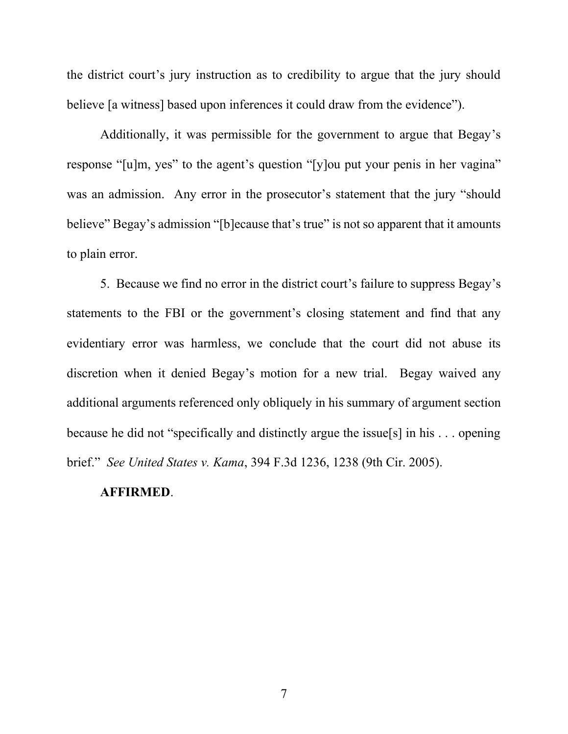the district court's jury instruction as to credibility to argue that the jury should believe [a witness] based upon inferences it could draw from the evidence").

Additionally, it was permissible for the government to argue that Begay's response "[u]m, yes" to the agent's question "[y]ou put your penis in her vagina" was an admission. Any error in the prosecutor's statement that the jury "should believe" Begay's admission "[b]ecause that's true" is not so apparent that it amounts to plain error.

5. Because we find no error in the district court's failure to suppress Begay's statements to the FBI or the government's closing statement and find that any evidentiary error was harmless, we conclude that the court did not abuse its discretion when it denied Begay's motion for a new trial. Begay waived any additional arguments referenced only obliquely in his summary of argument section because he did not "specifically and distinctly argue the issue[s] in his . . . opening brief." *See United States v. Kama*, 394 F.3d 1236, 1238 (9th Cir. 2005).

#### **AFFIRMED**.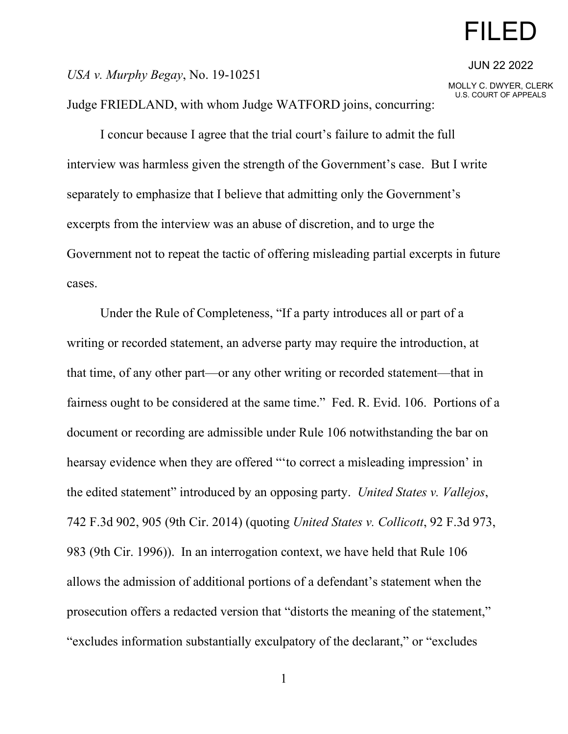# FILED

JUN 22 2022

MOLLY C. DWYER, CLERK U.S. COURT OF APPEALS

*USA v. Murphy Begay*, No. 19-10251

Judge FRIEDLAND, with whom Judge WATFORD joins, concurring:

I concur because I agree that the trial court's failure to admit the full interview was harmless given the strength of the Government's case. But I write separately to emphasize that I believe that admitting only the Government's excerpts from the interview was an abuse of discretion, and to urge the Government not to repeat the tactic of offering misleading partial excerpts in future cases.

Under the Rule of Completeness, "If a party introduces all or part of a writing or recorded statement, an adverse party may require the introduction, at that time, of any other part—or any other writing or recorded statement—that in fairness ought to be considered at the same time." Fed. R. Evid. 106. Portions of a document or recording are admissible under Rule 106 notwithstanding the bar on hearsay evidence when they are offered "'to correct a misleading impression' in the edited statement" introduced by an opposing party. *United States v. Vallejos*, 742 F.3d 902, 905 (9th Cir. 2014) (quoting *United States v. Collicott*, 92 F.3d 973, 983 (9th Cir. 1996)). In an interrogation context, we have held that Rule 106 allows the admission of additional portions of a defendant's statement when the prosecution offers a redacted version that "distorts the meaning of the statement," "excludes information substantially exculpatory of the declarant," or "excludes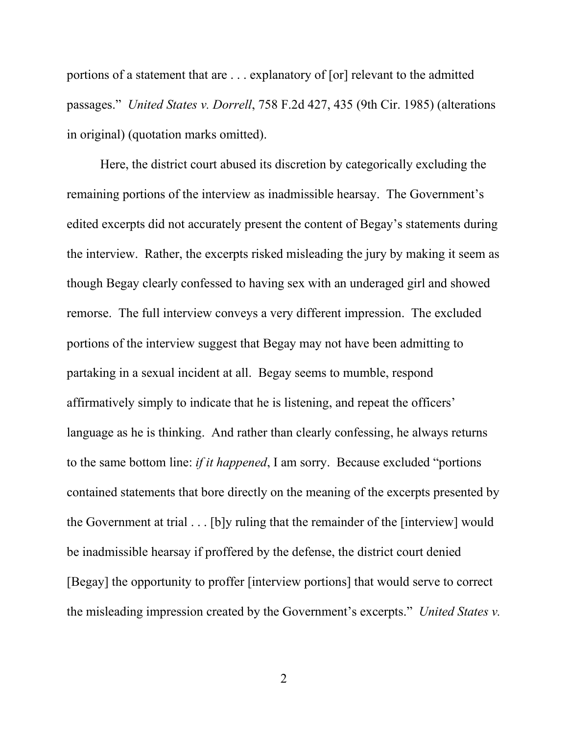portions of a statement that are . . . explanatory of [or] relevant to the admitted passages." *United States v. Dorrell*, 758 F.2d 427, 435 (9th Cir. 1985) (alterations in original) (quotation marks omitted).

Here, the district court abused its discretion by categorically excluding the remaining portions of the interview as inadmissible hearsay. The Government's edited excerpts did not accurately present the content of Begay's statements during the interview. Rather, the excerpts risked misleading the jury by making it seem as though Begay clearly confessed to having sex with an underaged girl and showed remorse. The full interview conveys a very different impression. The excluded portions of the interview suggest that Begay may not have been admitting to partaking in a sexual incident at all. Begay seems to mumble, respond affirmatively simply to indicate that he is listening, and repeat the officers' language as he is thinking. And rather than clearly confessing, he always returns to the same bottom line: *if it happened*, I am sorry. Because excluded "portions contained statements that bore directly on the meaning of the excerpts presented by the Government at trial . . . [b]y ruling that the remainder of the [interview] would be inadmissible hearsay if proffered by the defense, the district court denied [Begay] the opportunity to proffer [interview portions] that would serve to correct the misleading impression created by the Government's excerpts." *United States v.*